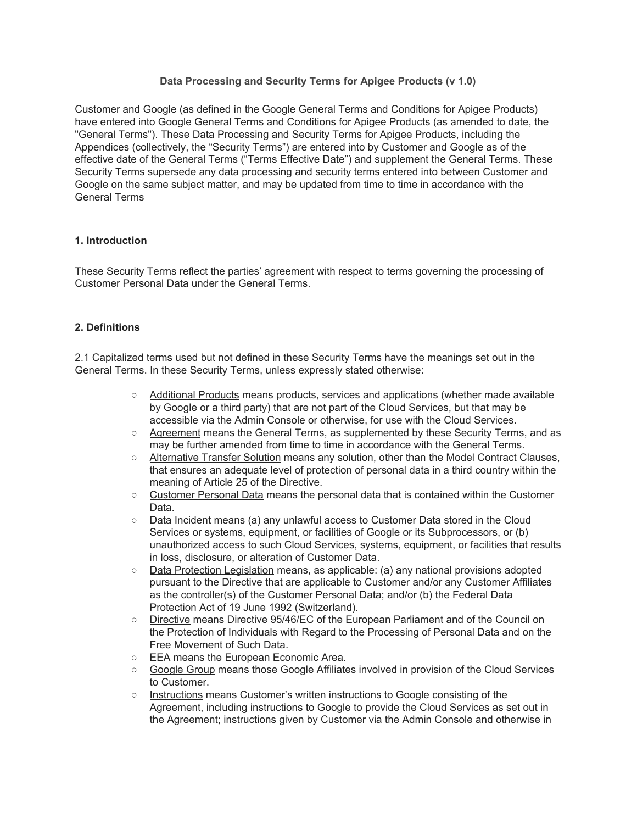# **Data Processing and Security Terms for Apigee Products (v 1.0)**

Customer and Google (as defined in the Google General Terms and Conditions for Apigee Products) have entered into Google General Terms and Conditions for Apigee Products (as amended to date, the "General Terms"). These Data Processing and Security Terms for Apigee Products, including the Appendices (collectively, the "Security Terms") are entered into by Customer and Google as of the effective date of the General Terms ("Terms Effective Date") and supplement the General Terms. These Security Terms supersede any data processing and security terms entered into between Customer and Google on the same subject matter, and may be updated from time to time in accordance with the General Terms

## **1. Introduction**

These Security Terms reflect the parties' agreement with respect to terms governing the processing of Customer Personal Data under the General Terms.

#### **2. Definitions**

2.1 Capitalized terms used but not defined in these Security Terms have the meanings set out in the General Terms. In these Security Terms, unless expressly stated otherwise:

- Additional Products means products, services and applications (whether made available by Google or a third party) that are not part of the Cloud Services, but that may be accessible via the Admin Console or otherwise, for use with the Cloud Services.
- Agreement means the General Terms, as supplemented by these Security Terms, and as may be further amended from time to time in accordance with the General Terms.
- Alternative Transfer Solution means any solution, other than the Model Contract Clauses, that ensures an adequate level of protection of personal data in a third country within the meaning of Article 25 of the Directive.
- Customer Personal Data means the personal data that is contained within the Customer Data.
- Data Incident means (a) any unlawful access to Customer Data stored in the Cloud Services or systems, equipment, or facilities of Google or its Subprocessors, or (b) unauthorized access to such Cloud Services, systems, equipment, or facilities that results in loss, disclosure, or alteration of Customer Data.
- Data Protection Legislation means, as applicable: (a) any national provisions adopted pursuant to the Directive that are applicable to Customer and/or any Customer Affiliates as the controller(s) of the Customer Personal Data; and/or (b) the Federal Data Protection Act of 19 June 1992 (Switzerland).
- Directive means Directive 95/46/EC of the European Parliament and of the Council on the Protection of Individuals with Regard to the Processing of Personal Data and on the Free Movement of Such Data.
- EEA means the European Economic Area.
- Google Group means those Google Affiliates involved in provision of the Cloud Services to Customer.
- Instructions means Customer's written instructions to Google consisting of the Agreement, including instructions to Google to provide the Cloud Services as set out in the Agreement; instructions given by Customer via the Admin Console and otherwise in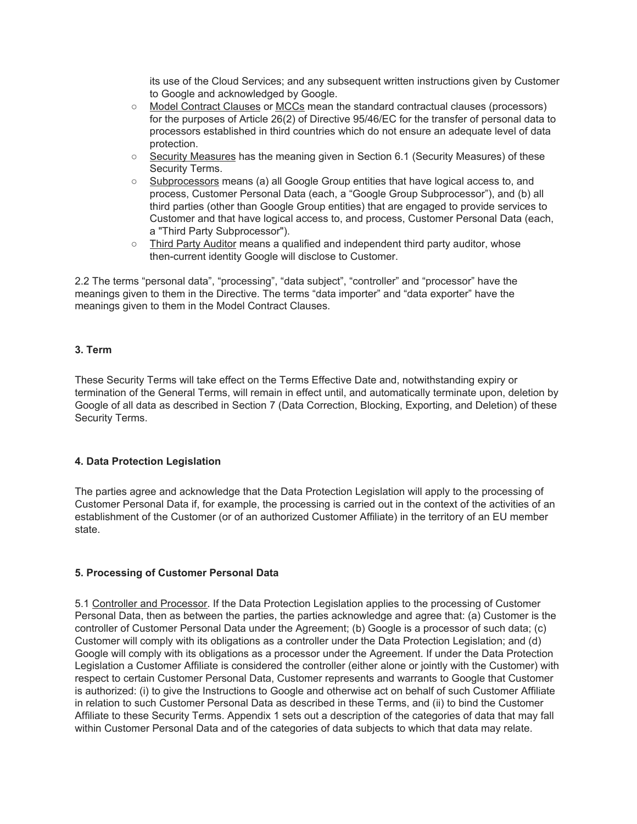its use of the Cloud Services; and any subsequent written instructions given by Customer to Google and acknowledged by Google.

- Model Contract Clauses or MCCs mean the standard contractual clauses (processors) for the purposes of Article 26(2) of Directive 95/46/EC for the transfer of personal data to processors established in third countries which do not ensure an adequate level of data protection.
- Security Measures has the meaning given in Section 6.1 (Security Measures) of these Security Terms.
- Subprocessors means (a) all Google Group entities that have logical access to, and process, Customer Personal Data (each, a "Google Group Subprocessor"), and (b) all third parties (other than Google Group entities) that are engaged to provide services to Customer and that have logical access to, and process, Customer Personal Data (each, a "Third Party Subprocessor").
- Third Party Auditor means a qualified and independent third party auditor, whose then-current identity Google will disclose to Customer.

2.2 The terms "personal data", "processing", "data subject", "controller" and "processor" have the meanings given to them in the Directive. The terms "data importer" and "data exporter" have the meanings given to them in the Model Contract Clauses.

# **3. Term**

These Security Terms will take effect on the Terms Effective Date and, notwithstanding expiry or termination of the General Terms, will remain in effect until, and automatically terminate upon, deletion by Google of all data as described in Section 7 (Data Correction, Blocking, Exporting, and Deletion) of these Security Terms.

## **4. Data Protection Legislation**

The parties agree and acknowledge that the Data Protection Legislation will apply to the processing of Customer Personal Data if, for example, the processing is carried out in the context of the activities of an establishment of the Customer (or of an authorized Customer Affiliate) in the territory of an EU member state.

## **5. Processing of Customer Personal Data**

5.1 Controller and Processor. If the Data Protection Legislation applies to the processing of Customer Personal Data, then as between the parties, the parties acknowledge and agree that: (a) Customer is the controller of Customer Personal Data under the Agreement; (b) Google is a processor of such data; (c) Customer will comply with its obligations as a controller under the Data Protection Legislation; and (d) Google will comply with its obligations as a processor under the Agreement. If under the Data Protection Legislation a Customer Affiliate is considered the controller (either alone or jointly with the Customer) with respect to certain Customer Personal Data, Customer represents and warrants to Google that Customer is authorized: (i) to give the Instructions to Google and otherwise act on behalf of such Customer Affiliate in relation to such Customer Personal Data as described in these Terms, and (ii) to bind the Customer Affiliate to these Security Terms. Appendix 1 sets out a description of the categories of data that may fall within Customer Personal Data and of the categories of data subjects to which that data may relate.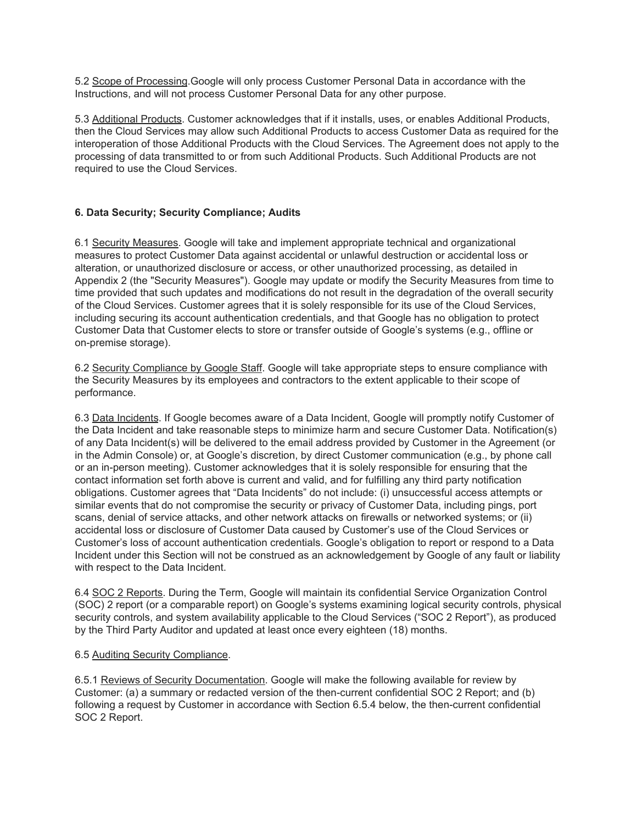5.2 Scope of Processing.Google will only process Customer Personal Data in accordance with the Instructions, and will not process Customer Personal Data for any other purpose.

5.3 Additional Products. Customer acknowledges that if it installs, uses, or enables Additional Products, then the Cloud Services may allow such Additional Products to access Customer Data as required for the interoperation of those Additional Products with the Cloud Services. The Agreement does not apply to the processing of data transmitted to or from such Additional Products. Such Additional Products are not required to use the Cloud Services.

# **6. Data Security; Security Compliance; Audits**

6.1 Security Measures. Google will take and implement appropriate technical and organizational measures to protect Customer Data against accidental or unlawful destruction or accidental loss or alteration, or unauthorized disclosure or access, or other unauthorized processing, as detailed in Appendix 2 (the "Security Measures"). Google may update or modify the Security Measures from time to time provided that such updates and modifications do not result in the degradation of the overall security of the Cloud Services. Customer agrees that it is solely responsible for its use of the Cloud Services, including securing its account authentication credentials, and that Google has no obligation to protect Customer Data that Customer elects to store or transfer outside of Google's systems (e.g., offline or on-premise storage).

6.2 Security Compliance by Google Staff. Google will take appropriate steps to ensure compliance with the Security Measures by its employees and contractors to the extent applicable to their scope of performance.

6.3 Data Incidents. If Google becomes aware of a Data Incident, Google will promptly notify Customer of the Data Incident and take reasonable steps to minimize harm and secure Customer Data. Notification(s) of any Data Incident(s) will be delivered to the email address provided by Customer in the Agreement (or in the Admin Console) or, at Google's discretion, by direct Customer communication (e.g., by phone call or an in-person meeting). Customer acknowledges that it is solely responsible for ensuring that the contact information set forth above is current and valid, and for fulfilling any third party notification obligations. Customer agrees that "Data Incidents" do not include: (i) unsuccessful access attempts or similar events that do not compromise the security or privacy of Customer Data, including pings, port scans, denial of service attacks, and other network attacks on firewalls or networked systems; or (ii) accidental loss or disclosure of Customer Data caused by Customer's use of the Cloud Services or Customer's loss of account authentication credentials. Google's obligation to report or respond to a Data Incident under this Section will not be construed as an acknowledgement by Google of any fault or liability with respect to the Data Incident.

6.4 SOC 2 Reports. During the Term, Google will maintain its confidential Service Organization Control (SOC) 2 report (or a comparable report) on Google's systems examining logical security controls, physical security controls, and system availability applicable to the Cloud Services ("SOC 2 Report"), as produced by the Third Party Auditor and updated at least once every eighteen (18) months.

## 6.5 Auditing Security Compliance.

6.5.1 Reviews of Security Documentation. Google will make the following available for review by Customer: (a) a summary or redacted version of the then-current confidential SOC 2 Report; and (b) following a request by Customer in accordance with Section 6.5.4 below, the then-current confidential SOC 2 Report.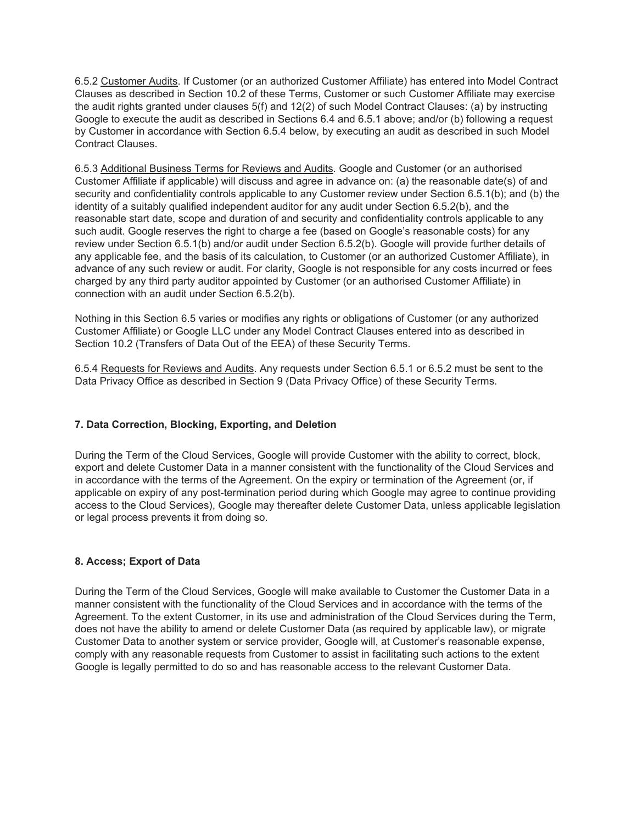6.5.2 Customer Audits. If Customer (or an authorized Customer Affiliate) has entered into Model Contract Clauses as described in Section 10.2 of these Terms, Customer or such Customer Affiliate may exercise the audit rights granted under clauses 5(f) and 12(2) of such Model Contract Clauses: (a) by instructing Google to execute the audit as described in Sections 6.4 and 6.5.1 above; and/or (b) following a request by Customer in accordance with Section 6.5.4 below, by executing an audit as described in such Model Contract Clauses.

6.5.3 Additional Business Terms for Reviews and Audits. Google and Customer (or an authorised Customer Affiliate if applicable) will discuss and agree in advance on: (a) the reasonable date(s) of and security and confidentiality controls applicable to any Customer review under Section 6.5.1(b); and (b) the identity of a suitably qualified independent auditor for any audit under Section 6.5.2(b), and the reasonable start date, scope and duration of and security and confidentiality controls applicable to any such audit. Google reserves the right to charge a fee (based on Google's reasonable costs) for any review under Section 6.5.1(b) and/or audit under Section 6.5.2(b). Google will provide further details of any applicable fee, and the basis of its calculation, to Customer (or an authorized Customer Affiliate), in advance of any such review or audit. For clarity, Google is not responsible for any costs incurred or fees charged by any third party auditor appointed by Customer (or an authorised Customer Affiliate) in connection with an audit under Section 6.5.2(b).

Nothing in this Section 6.5 varies or modifies any rights or obligations of Customer (or any authorized Customer Affiliate) or Google LLC under any Model Contract Clauses entered into as described in Section 10.2 (Transfers of Data Out of the EEA) of these Security Terms.

6.5.4 Requests for Reviews and Audits. Any requests under Section 6.5.1 or 6.5.2 must be sent to the Data Privacy Office as described in Section 9 (Data Privacy Office) of these Security Terms.

## **7. Data Correction, Blocking, Exporting, and Deletion**

During the Term of the Cloud Services, Google will provide Customer with the ability to correct, block, export and delete Customer Data in a manner consistent with the functionality of the Cloud Services and in accordance with the terms of the Agreement. On the expiry or termination of the Agreement (or, if applicable on expiry of any post-termination period during which Google may agree to continue providing access to the Cloud Services), Google may thereafter delete Customer Data, unless applicable legislation or legal process prevents it from doing so.

#### **8. Access; Export of Data**

During the Term of the Cloud Services, Google will make available to Customer the Customer Data in a manner consistent with the functionality of the Cloud Services and in accordance with the terms of the Agreement. To the extent Customer, in its use and administration of the Cloud Services during the Term, does not have the ability to amend or delete Customer Data (as required by applicable law), or migrate Customer Data to another system or service provider, Google will, at Customer's reasonable expense, comply with any reasonable requests from Customer to assist in facilitating such actions to the extent Google is legally permitted to do so and has reasonable access to the relevant Customer Data.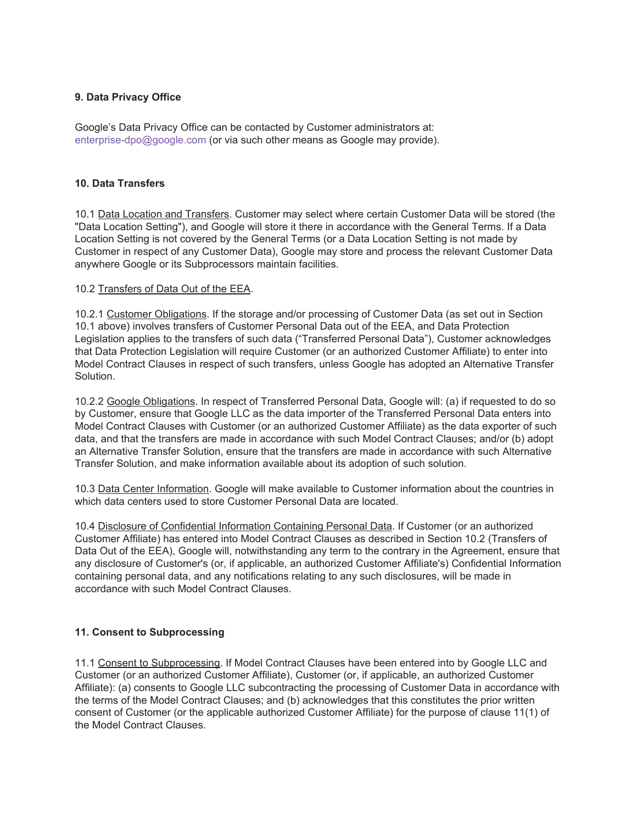# **9. Data Privacy Office**

Google's Data Privacy Office can be contacted by Customer administrators at: enterprise-dpo@google.com (or via such other means as Google may provide).

#### **10. Data Transfers**

10.1 Data Location and Transfers. Customer may select where certain Customer Data will be stored (the "Data Location Setting"), and Google will store it there in accordance with the General Terms. If a Data Location Setting is not covered by the General Terms (or a Data Location Setting is not made by Customer in respect of any Customer Data), Google may store and process the relevant Customer Data anywhere Google or its Subprocessors maintain facilities.

#### 10.2 Transfers of Data Out of the EEA.

10.2.1 Customer Obligations. If the storage and/or processing of Customer Data (as set out in Section 10.1 above) involves transfers of Customer Personal Data out of the EEA, and Data Protection Legislation applies to the transfers of such data ("Transferred Personal Data"), Customer acknowledges that Data Protection Legislation will require Customer (or an authorized Customer Affiliate) to enter into Model Contract Clauses in respect of such transfers, unless Google has adopted an Alternative Transfer Solution.

10.2.2 Google Obligations. In respect of Transferred Personal Data, Google will: (a) if requested to do so by Customer, ensure that Google LLC as the data importer of the Transferred Personal Data enters into Model Contract Clauses with Customer (or an authorized Customer Affiliate) as the data exporter of such data, and that the transfers are made in accordance with such Model Contract Clauses; and/or (b) adopt an Alternative Transfer Solution, ensure that the transfers are made in accordance with such Alternative Transfer Solution, and make information available about its adoption of such solution.

10.3 Data Center Information. Google will make available to Customer information about the countries in which data centers used to store Customer Personal Data are located.

10.4 Disclosure of Confidential Information Containing Personal Data. If Customer (or an authorized Customer Affiliate) has entered into Model Contract Clauses as described in Section 10.2 (Transfers of Data Out of the EEA), Google will, notwithstanding any term to the contrary in the Agreement, ensure that any disclosure of Customer's (or, if applicable, an authorized Customer Affiliate's) Confidential Information containing personal data, and any notifications relating to any such disclosures, will be made in accordance with such Model Contract Clauses.

## **11. Consent to Subprocessing**

11.1 Consent to Subprocessing. If Model Contract Clauses have been entered into by Google LLC and Customer (or an authorized Customer Affiliate), Customer (or, if applicable, an authorized Customer Affiliate): (a) consents to Google LLC subcontracting the processing of Customer Data in accordance with the terms of the Model Contract Clauses; and (b) acknowledges that this constitutes the prior written consent of Customer (or the applicable authorized Customer Affiliate) for the purpose of clause 11(1) of the Model Contract Clauses.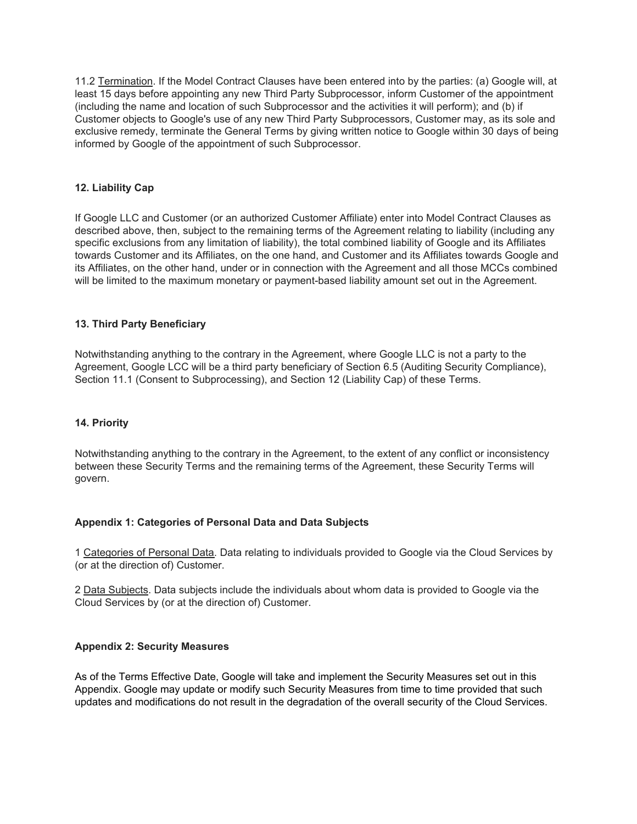11.2 Termination. If the Model Contract Clauses have been entered into by the parties: (a) Google will, at least 15 days before appointing any new Third Party Subprocessor, inform Customer of the appointment (including the name and location of such Subprocessor and the activities it will perform); and (b) if Customer objects to Google's use of any new Third Party Subprocessors, Customer may, as its sole and exclusive remedy, terminate the General Terms by giving written notice to Google within 30 days of being informed by Google of the appointment of such Subprocessor.

#### **12. Liability Cap**

If Google LLC and Customer (or an authorized Customer Affiliate) enter into Model Contract Clauses as described above, then, subject to the remaining terms of the Agreement relating to liability (including any specific exclusions from any limitation of liability), the total combined liability of Google and its Affiliates towards Customer and its Affiliates, on the one hand, and Customer and its Affiliates towards Google and its Affiliates, on the other hand, under or in connection with the Agreement and all those MCCs combined will be limited to the maximum monetary or payment-based liability amount set out in the Agreement.

#### **13. Third Party Beneficiary**

Notwithstanding anything to the contrary in the Agreement, where Google LLC is not a party to the Agreement, Google LCC will be a third party beneficiary of Section 6.5 (Auditing Security Compliance), Section 11.1 (Consent to Subprocessing), and Section 12 (Liability Cap) of these Terms.

#### **14. Priority**

Notwithstanding anything to the contrary in the Agreement, to the extent of any conflict or inconsistency between these Security Terms and the remaining terms of the Agreement, these Security Terms will govern.

#### **Appendix 1: Categories of Personal Data and Data Subjects**

1 Categories of Personal Data. Data relating to individuals provided to Google via the Cloud Services by (or at the direction of) Customer.

2 Data Subjects. Data subjects include the individuals about whom data is provided to Google via the Cloud Services by (or at the direction of) Customer.

#### **Appendix 2: Security Measures**

As of the Terms Effective Date, Google will take and implement the Security Measures set out in this Appendix. Google may update or modify such Security Measures from time to time provided that such updates and modifications do not result in the degradation of the overall security of the Cloud Services.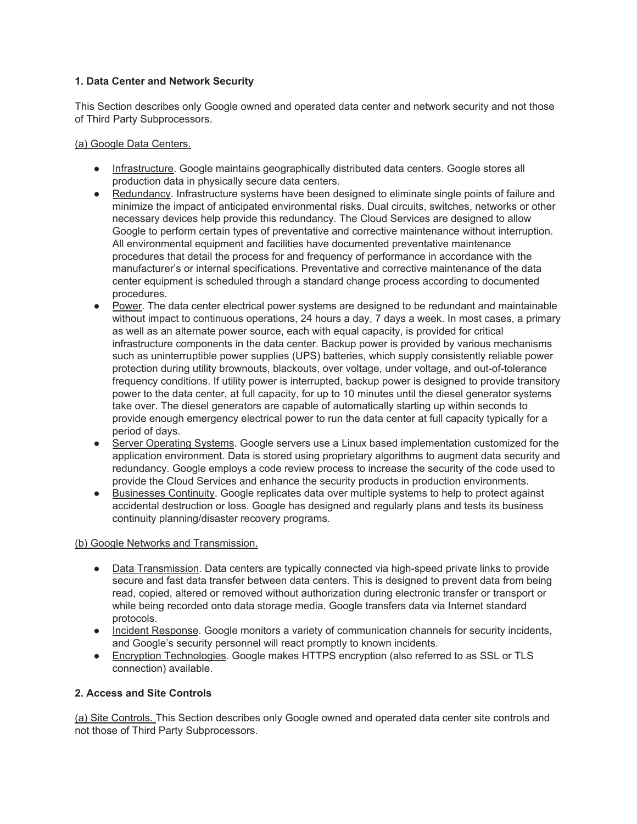# **1. Data Center and Network Security**

This Section describes only Google owned and operated data center and network security and not those of Third Party Subprocessors.

(a) Google Data Centers.

- Infrastructure. Google maintains geographically distributed data centers. Google stores all production data in physically secure data centers.
- Redundancy. Infrastructure systems have been designed to eliminate single points of failure and minimize the impact of anticipated environmental risks. Dual circuits, switches, networks or other necessary devices help provide this redundancy. The Cloud Services are designed to allow Google to perform certain types of preventative and corrective maintenance without interruption. All environmental equipment and facilities have documented preventative maintenance procedures that detail the process for and frequency of performance in accordance with the manufacturer's or internal specifications. Preventative and corrective maintenance of the data center equipment is scheduled through a standard change process according to documented procedures.
- Power. The data center electrical power systems are designed to be redundant and maintainable without impact to continuous operations, 24 hours a day, 7 days a week. In most cases, a primary as well as an alternate power source, each with equal capacity, is provided for critical infrastructure components in the data center. Backup power is provided by various mechanisms such as uninterruptible power supplies (UPS) batteries, which supply consistently reliable power protection during utility brownouts, blackouts, over voltage, under voltage, and out-of-tolerance frequency conditions. If utility power is interrupted, backup power is designed to provide transitory power to the data center, at full capacity, for up to 10 minutes until the diesel generator systems take over. The diesel generators are capable of automatically starting up within seconds to provide enough emergency electrical power to run the data center at full capacity typically for a period of days.
- Server Operating Systems. Google servers use a Linux based implementation customized for the application environment. Data is stored using proprietary algorithms to augment data security and redundancy. Google employs a code review process to increase the security of the code used to provide the Cloud Services and enhance the security products in production environments.
- Businesses Continuity. Google replicates data over multiple systems to help to protect against accidental destruction or loss. Google has designed and regularly plans and tests its business continuity planning/disaster recovery programs.

(b) Google Networks and Transmission.

- Data Transmission. Data centers are typically connected via high-speed private links to provide secure and fast data transfer between data centers. This is designed to prevent data from being read, copied, altered or removed without authorization during electronic transfer or transport or while being recorded onto data storage media. Google transfers data via Internet standard protocols.
- Incident Response. Google monitors a variety of communication channels for security incidents, and Google's security personnel will react promptly to known incidents.
- Encryption Technologies. Google makes HTTPS encryption (also referred to as SSL or TLS connection) available.

## **2. Access and Site Controls**

(a) Site Controls. This Section describes only Google owned and operated data center site controls and not those of Third Party Subprocessors.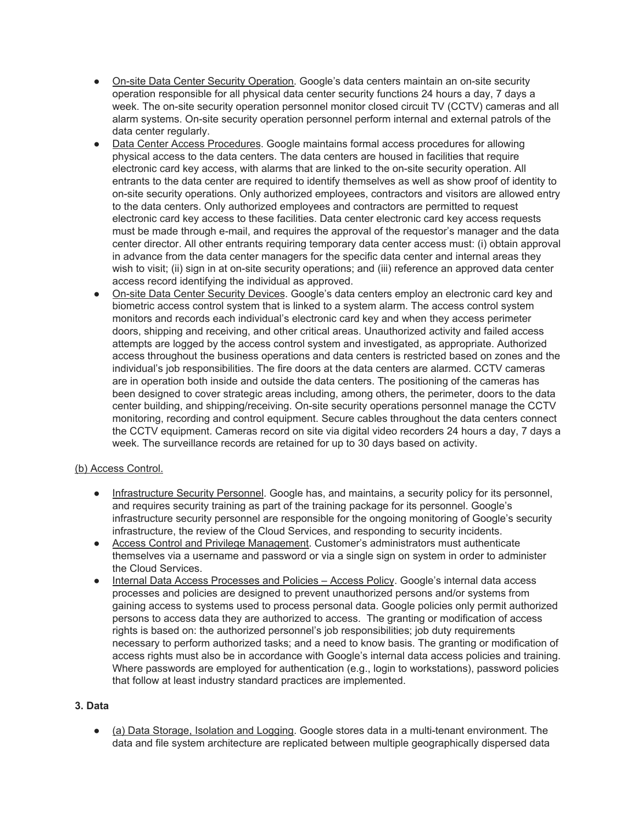- On-site Data Center Security Operation. Google's data centers maintain an on-site security operation responsible for all physical data center security functions 24 hours a day, 7 days a week. The on-site security operation personnel monitor closed circuit TV (CCTV) cameras and all alarm systems. On-site security operation personnel perform internal and external patrols of the data center regularly.
- Data Center Access Procedures. Google maintains formal access procedures for allowing physical access to the data centers. The data centers are housed in facilities that require electronic card key access, with alarms that are linked to the on-site security operation. All entrants to the data center are required to identify themselves as well as show proof of identity to on-site security operations. Only authorized employees, contractors and visitors are allowed entry to the data centers. Only authorized employees and contractors are permitted to request electronic card key access to these facilities. Data center electronic card key access requests must be made through e-mail, and requires the approval of the requestor's manager and the data center director. All other entrants requiring temporary data center access must: (i) obtain approval in advance from the data center managers for the specific data center and internal areas they wish to visit; (ii) sign in at on-site security operations; and (iii) reference an approved data center access record identifying the individual as approved.
- On-site Data Center Security Devices. Google's data centers employ an electronic card key and biometric access control system that is linked to a system alarm. The access control system monitors and records each individual's electronic card key and when they access perimeter doors, shipping and receiving, and other critical areas. Unauthorized activity and failed access attempts are logged by the access control system and investigated, as appropriate. Authorized access throughout the business operations and data centers is restricted based on zones and the individual's job responsibilities. The fire doors at the data centers are alarmed. CCTV cameras are in operation both inside and outside the data centers. The positioning of the cameras has been designed to cover strategic areas including, among others, the perimeter, doors to the data center building, and shipping/receiving. On-site security operations personnel manage the CCTV monitoring, recording and control equipment. Secure cables throughout the data centers connect the CCTV equipment. Cameras record on site via digital video recorders 24 hours a day, 7 days a week. The surveillance records are retained for up to 30 days based on activity.

## (b) Access Control.

- Infrastructure Security Personnel. Google has, and maintains, a security policy for its personnel, and requires security training as part of the training package for its personnel. Google's infrastructure security personnel are responsible for the ongoing monitoring of Google's security infrastructure, the review of the Cloud Services, and responding to security incidents.
- Access Control and Privilege Management. Customer's administrators must authenticate themselves via a username and password or via a single sign on system in order to administer the Cloud Services.
- Internal Data Access Processes and Policies Access Policy. Google's internal data access processes and policies are designed to prevent unauthorized persons and/or systems from gaining access to systems used to process personal data. Google policies only permit authorized persons to access data they are authorized to access. The granting or modification of access rights is based on: the authorized personnel's job responsibilities; job duty requirements necessary to perform authorized tasks; and a need to know basis. The granting or modification of access rights must also be in accordance with Google's internal data access policies and training. Where passwords are employed for authentication (e.g., login to workstations), password policies that follow at least industry standard practices are implemented.

## **3. Data**

● (a) Data Storage, Isolation and Logging. Google stores data in a multi-tenant environment. The data and file system architecture are replicated between multiple geographically dispersed data